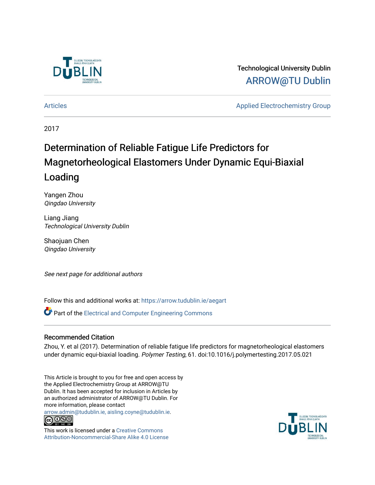

# Technological University Dublin [ARROW@TU Dublin](https://arrow.tudublin.ie/)

[Articles](https://arrow.tudublin.ie/aegart) Applied Electrochemistry Group

2017

# Determination of Reliable Fatigue Life Predictors for Magnetorheological Elastomers Under Dynamic Equi-Biaxial Loading

Yangen Zhou Qingdao University

Liang Jiang Technological University Dublin

Shaojuan Chen Qingdao University

See next page for additional authors

Follow this and additional works at: [https://arrow.tudublin.ie/aegart](https://arrow.tudublin.ie/aegart?utm_source=arrow.tudublin.ie%2Faegart%2F4&utm_medium=PDF&utm_campaign=PDFCoverPages) 

**P** Part of the Electrical and Computer Engineering Commons

#### Recommended Citation

Zhou, Y. et al (2017). Determination of reliable fatigue life predictors for magnetorheological elastomers under dynamic equi-biaxial loading. Polymer Testing, 61. doi:10.1016/j.polymertesting.2017.05.021

This Article is brought to you for free and open access by the Applied Electrochemistry Group at ARROW@TU Dublin. It has been accepted for inclusion in Articles by an authorized administrator of ARROW@TU Dublin. For more information, please contact

[arrow.admin@tudublin.ie, aisling.coyne@tudublin.ie](mailto:arrow.admin@tudublin.ie,%20aisling.coyne@tudublin.ie).



This work is licensed under a [Creative Commons](http://creativecommons.org/licenses/by-nc-sa/4.0/) [Attribution-Noncommercial-Share Alike 4.0 License](http://creativecommons.org/licenses/by-nc-sa/4.0/)

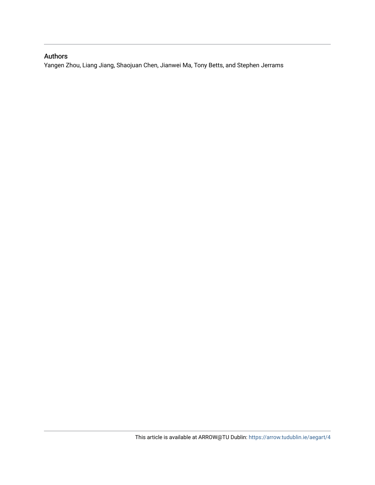### Authors

Yangen Zhou, Liang Jiang, Shaojuan Chen, Jianwei Ma, Tony Betts, and Stephen Jerrams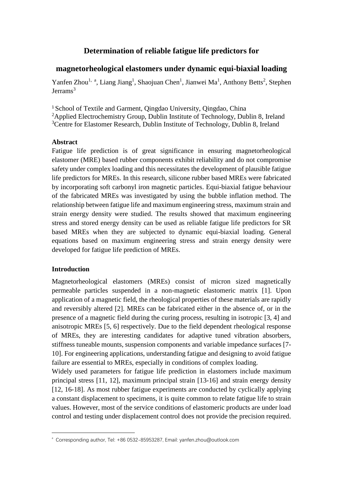## **Determination of reliable fatigue life predictors for**

#### **magnetorheological elastomers under dynamic equi-biaxial loading**

Yanfen Zhou<sup>1, a</sup>, Liang Jiang<sup>1</sup>, Shaojuan Chen<sup>1</sup>, Jianwei Ma<sup>1</sup>, Anthony Betts<sup>2</sup>, Stephen  $Ierrams<sup>3</sup>$ 

<sup>1</sup>School of Textile and Garment, Qingdao University, Qingdao, China

<sup>2</sup>Applied Electrochemistry Group, Dublin Institute of Technology, Dublin 8, Ireland

<sup>3</sup>Centre for Elastomer Research, Dublin Institute of Technology, Dublin 8, Ireland

#### **Abstract**

Fatigue life prediction is of great significance in ensuring magnetorheological elastomer (MRE) based rubber components exhibit reliability and do not compromise safety under complex loading and this necessitates the development of plausible fatigue life predictors for MREs. In this research, silicone rubber based MREs were fabricated by incorporating soft carbonyl iron magnetic particles. Equi-biaxial fatigue behaviour of the fabricated MREs was investigated by using the bubble inflation method. The relationship between fatigue life and maximum engineering stress, maximum strain and strain energy density were studied. The results showed that maximum engineering stress and stored energy density can be used as reliable fatigue life predictors for SR based MREs when they are subjected to dynamic equi-biaxial loading. General equations based on maximum engineering stress and strain energy density were developed for fatigue life prediction of MREs.

#### **Introduction**

1

Magnetorheological elastomers (MREs) consist of micron sized magnetically permeable particles suspended in a non-magnetic elastomeric matrix [\[1\]](#page-11-0). Upon application of a magnetic field, the rheological properties of these materials are rapidly and reversibly altered [\[2\]](#page-11-1). MREs can be fabricated either in the absence of, or in the presence of a magnetic field during the curing process, resulting in isotropic [\[3,](#page-11-2) [4\]](#page-11-3) and anisotropic MREs [\[5,](#page-11-4) [6\]](#page-12-0) respectively. Due to the field dependent rheological response of MREs, they are interesting candidates for adaptive tuned vibration absorbers, stiffness tuneable mounts, suspension components and variable impedance surfaces [\[7-](#page-12-1) [10\]](#page-12-1). For engineering applications, understanding fatigue and designing to avoid fatigue failure are essential to MREs, especially in conditions of complex loading.

Widely used parameters for fatigue life prediction in elastomers include maximum principal stress [\[11,](#page-12-2) [12\]](#page-12-3), maximum principal strain [\[13-16\]](#page-12-4) and strain energy density [\[12,](#page-12-3) [16-18\]](#page-12-5). As most rubber fatigue experiments are conducted by cyclically applying a constant displacement to specimens, it is quite common to relate fatigue life to strain values. However, most of the service conditions of elastomeric products are under load control and testing under displacement control does not provide the precision required.

a Corresponding author, Tel: +86 0532-85953287, Email: yanfen.zhou@outlook.com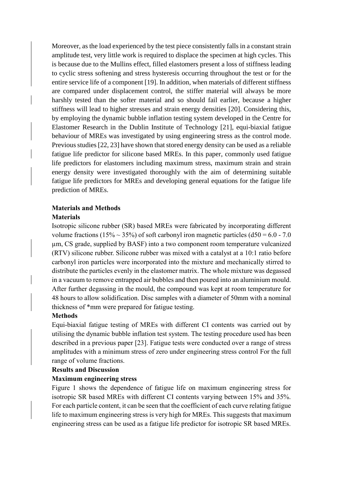Moreover, as the load experienced by the test piece consistently falls in a constant strain amplitude test, very little work is required to displace the specimen at high cycles. This is because due to the Mullins effect, filled elastomers present a loss of stiffness leading to cyclic stress softening and stress hysteresis occurring throughout the test or for the entire service life of a component [\[19\]](#page-12-6). In addition, when materials of different stiffness are compared under displacement control, the stiffer material will always be more harshly tested than the softer material and so should fail earlier, because a higher stiffness will lead to higher stresses and strain energy densities [\[20\]](#page-12-7). Considering this, by employing the dynamic bubble inflation testing system developed in the Centre for Elastomer Research in the Dublin Institute of Technology [\[21\]](#page-13-0), equi-biaxial fatigue behaviour of MREs was investigated by using engineering stress as the control mode. Previous studies [\[22,](#page-13-1) [23\]](#page-13-2) have shown that stored energy density can be used as a reliable fatigue life predictor for silicone based MREs. In this paper, commonly used fatigue life predictors for elastomers including maximum stress, maximum strain and strain energy density were investigated thoroughly with the aim of determining suitable fatigue life predictors for MREs and developing general equations for the fatigue life prediction of MREs.

#### **Materials and Methods**

#### **Materials**

Isotropic silicone rubber (SR) based MREs were fabricated by incorporating different volume fractions (15%  $\sim$  35%) of soft carbonyl iron magnetic particles (d50 = 6.0 - 7.0 µm, CS grade, supplied by BASF) into a two component room temperature vulcanized (RTV) silicone rubber. Silicone rubber was mixed with a catalyst at a 10:1 ratio before carbonyl iron particles were incorporated into the mixture and mechanically stirred to distribute the particles evenly in the elastomer matrix. The whole mixture was degassed in a vacuum to remove entrapped air bubbles and then poured into an aluminium mould. After further degassing in the mould, the compound was kept at room temperature for 48 hours to allow solidification. Disc samples with a diameter of 50mm with a nominal thickness of \*mm were prepared for fatigue testing.

#### **Methods**

Equi-biaxial fatigue testing of MREs with different CI contents was carried out by utilising the dynamic bubble inflation test system. The testing procedure used has been described in a previous paper [\[23\]](#page-13-2). Fatigue tests were conducted over a range of stress amplitudes with a minimum stress of zero under engineering stress control For the full range of volume fractions.

#### **Results and Discussion**

#### **Maximum engineering stress**

Figure 1 shows the dependence of fatigue life on maximum engineering stress for isotropic SR based MREs with different CI contents varying between 15% and 35%. For each particle content, it can be seen that the coefficient of each curve relating fatigue life to maximum engineering stress is very high for MREs. This suggests that maximum engineering stress can be used as a fatigue life predictor for isotropic SR based MREs.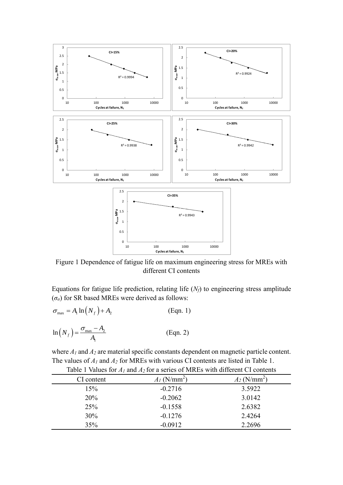

Figure 1 Dependence of fatigue life on maximum engineering stress for MREs with different CI contents

Equations for fatigue life prediction, relating life (*Nf*) to engineering stress amplitude (*σa*) for SR based MREs were derived as follows:

$$
\sigma_{\max} = A_1 \ln(N_f) + A_2
$$
 (Eqn. 1)  

$$
\ln(N_f) = \frac{\sigma_{\max} - A_2}{A_1}
$$
 (Eqn. 2)

where *A<sup>1</sup>* and *A<sup>2</sup>* are material specific constants dependent on magnetic particle content. The values of *A<sup>1</sup>* and *A<sup>2</sup>* for MREs with various CI contents are listed in Table 1. Table 1 Values for *A<sup>1</sup>* and *A<sup>2</sup>* for a series of MREs with different CI contents

| CI content | $A_I$ (N/mm <sup>2</sup> ) | $A_2$ (N/mm <sup>2</sup> ) |
|------------|----------------------------|----------------------------|
| 15%        | $-0.2716$                  | 3.5922                     |
| 20%        | $-0.2062$                  | 3.0142                     |
| 25%        | $-0.1558$                  | 2.6382                     |
| 30%        | $-0.1276$                  | 2.4264                     |
| 35%        | $-0.0912$                  | 2.2696                     |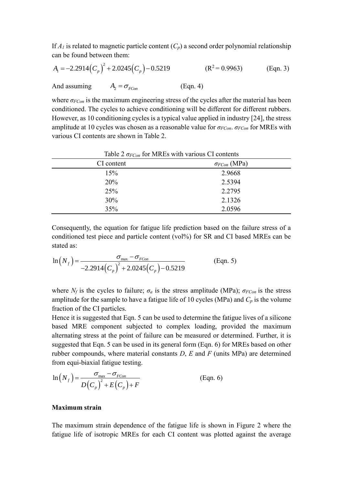If  $A_I$  is related to magnetic particle content  $(C_p)$  a second order polynomial relationship

can be found between them:  
\n
$$
A_1 = -2.2914 (C_p)^2 + 2.0245 (C_p) - 0.5219
$$
 (R<sup>2</sup> = 0.9963) (Eqn. 3)  
\nAnd assuming  $A_2 = \sigma_{FCon}$  (Eqn. 4)

where  $\sigma_{FCon}$  is the maximum engineering stress of the cycles after the material has been conditioned. The cycles to achieve conditioning will be different for different rubbers. However, as 10 conditioning cycles is a typical value applied in industry [\[24\]](#page-13-3), the stress amplitude at 10 cycles was chosen as a reasonable value for *σFCon*. *σFCon* for MREs with various CI contents are shown in Table 2.

| Table 2 $\sigma_{FCon}$ for MREs with various CI contents |                       |  |
|-----------------------------------------------------------|-----------------------|--|
| CI content                                                | $\sigma_{FCon}$ (MPa) |  |
| 15%                                                       | 2.9668                |  |
| 20%                                                       | 2.5394                |  |
| 25%                                                       | 2.2795                |  |
| 30%                                                       | 2.1326                |  |
| 35%                                                       | 2.0596                |  |

Consequently, the equation for fatigue life prediction based on the failure stress of a conditioned test piece and particle content (vol%) for SR and CI based MREs can be stated as:  $\sigma_{\text{max}} - \sigma_{\text{\tiny FCon}}$ 

$$
\ln\left(N_f\right) = \frac{\sigma_{\text{max}} - \sigma_{FCon}}{-2.2914\left(C_p\right)^2 + 2.0245\left(C_p\right) - 0.5219}
$$
\n(Eqn. 5)

where  $N_f$  is the cycles to failure;  $\sigma_a$  is the stress amplitude (MPa);  $\sigma_{FCon}$  is the stress amplitude for the sample to have a fatigue life of 10 cycles (MPa) and  $C_p$  is the volume fraction of the CI particles.

Hence it is suggested that Eqn. 5 can be used to determine the fatigue lives of a silicone based MRE component subjected to complex loading, provided the maximum alternating stress at the point of failure can be measured or determined. Further, it is suggested that Eqn. 5 can be used in its general form (Eqn. 6) for MREs based on other rubber compounds, where material constants *D*, *E* and *F* (units MPa) are determined from equi-biaxial fatigue testing.<br>  $\sigma_{\text{max}} - \sigma_{\text{FCon}}$ 

$$
\ln\left(N_f\right) = \frac{\sigma_{\max} - \sigma_{FCon}}{D\left(C_p\right)^2 + E\left(C_p\right) + F}
$$
 (Eqn. 6)

#### **Maximum strain**

The maximum strain dependence of the fatigue life is shown in Figure 2 where the fatigue life of isotropic MREs for each CI content was plotted against the average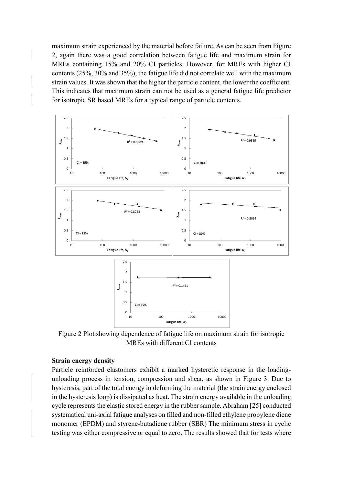maximum strain experienced by the material before failure. As can be seen from Figure 2, again there was a good correlation between fatigue life and maximum strain for MREs containing 15% and 20% CI particles. However, for MREs with higher CI contents (25%, 30% and 35%), the fatigue life did not correlate well with the maximum strain values. It was shown that the higher the particle content, the lower the coefficient. This indicates that maximum strain can not be used as a general fatigue life predictor for isotropic SR based MREs for a typical range of particle contents.



Figure 2 Plot showing dependence of fatigue life on maximum strain for isotropic MREs with different CI contents

#### **Strain energy density**

Particle reinforced elastomers exhibit a marked hysteretic response in the loadingunloading process in tension, compression and shear, as shown in Figure 3. Due to hysteresis, part of the total energy in deforming the material (the strain energy enclosed in the hysteresis loop) is dissipated as heat. The strain energy available in the unloading cycle represents the elastic stored energy in the rubber sample. Abraham [\[25\]](#page-13-4) conducted systematical uni-axial fatigue analyses on filled and non-filled ethylene propylene diene monomer (EPDM) and styrene-butadiene rubber (SBR) The minimum stress in cyclic testing was either compressive or equal to zero. The results showed that for tests where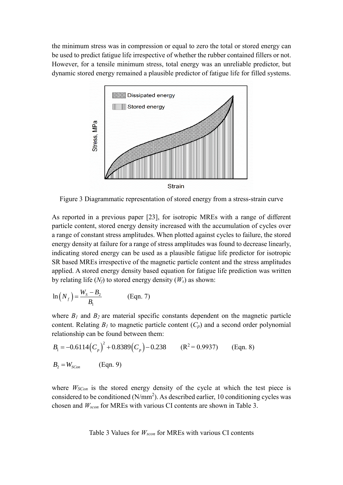the minimum stress was in compression or equal to zero the total or stored energy can be used to predict fatigue life irrespective of whether the rubber contained fillers or not. However, for a tensile minimum stress, total energy was an unreliable predictor, but dynamic stored energy remained a plausible predictor of fatigue life for filled systems.



Figure 3 Diagrammatic representation of stored energy from a stress-strain curve

As reported in a previous paper [\[23\]](#page-13-2), for isotropic MREs with a range of different particle content, stored energy density increased with the accumulation of cycles over a range of constant stress amplitudes. When plotted against cycles to failure, the stored energy density at failure for a range of stress amplitudes was found to decrease linearly, indicating stored energy can be used as a plausible fatigue life predictor for isotropic SR based MREs irrespective of the magnetic particle content and the stress amplitudes applied. A stored energy density based equation for fatigue life prediction was written by relating life  $(N_f)$  to stored energy density  $(W_s)$  as shown:

$$
\ln\left(N_f\right) = \frac{W_s - B_2}{B_1} \tag{Eqn. 7}
$$

where  $B_I$  and  $B_2$  are material specific constants dependent on the magnetic particle content. Relating  $B_I$  to magnetic particle content  $(C_p)$  and a second order polynomial

relationship can be found between them:  
\n
$$
B_1 = -0.6114 (C_p)^2 + 0.8389 (C_p) - 0.238
$$
 (R<sup>2</sup> = 0.9937) (Eqn. 8)  
\n $B_2 = W_{sCon}$  (Eqn. 9)

where  $W_{\text{SCon}}$  is the stored energy density of the cycle at which the test piece is considered to be conditioned  $(N/mm^2)$ . As described earlier, 10 conditioning cycles was chosen and *Wscon* for MREs with various CI contents are shown in Table 3.

Table 3 Values for *Wscon* for MREs with various CI contents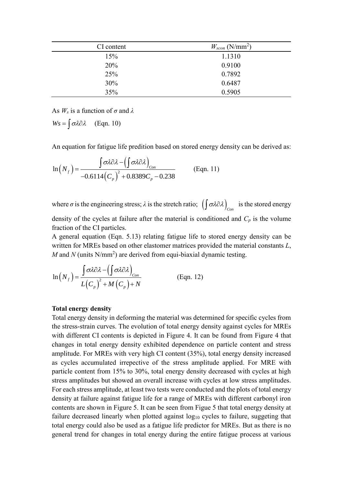| CI content | $W_{scon}$ (N/mm <sup>2</sup> ) |
|------------|---------------------------------|
| 15%        | 1.1310                          |
| 20%        | 0.9100                          |
| 25%        | 0.7892                          |
| 30%        | 0.6487                          |
| 35%        | 0.5905                          |

As *W<sup>s</sup>* is a function of *σ* and *λ*

 $Ws = \int \sigma \lambda \partial \lambda$  (Eqn. 10)

An equation for fatigue life prediction based on stored energy density can be derived as:  
\n
$$
\ln(N_f) = \frac{\int \sigma \lambda \partial \lambda - (\int \sigma \lambda \partial \lambda)_{Con}}{-0.6114 (C_p)^2 + 0.8389 C_p - 0.238}
$$
\n(Eqn. 11)

where  $\sigma$  is the engineering stress;  $\lambda$  is the stretch ratio;  $\left(\int \sigma \lambda \partial \lambda\right)_{Con}$  is the stored energy

density of the cycles at failure after the material is conditioned and  $C_p$  is the volume fraction of the CI particles.

A general equation (Eqn. 5.13) relating fatigue life to stored energy density can be written for MREs based on other elastomer matrices provided the material constants *L*, *M* and *N* (units  $N/mm^2$ ) are derived from equi-biaxial dynamic testing.

$$
\ln(N_f) = \frac{\int \sigma \lambda \partial \lambda - (\int \sigma \lambda \partial \lambda)_{Con}}{L(C_p)^2 + M(C_p) + N}
$$
 (Eqn. 12)

#### **Total energy density**

Total energy density in deforming the material was determined for specific cycles from the stress-strain curves. The evolution of total energy density against cycles for MREs with different CI contents is depicted in Figure 4. It can be found from Figure 4 that changes in total energy density exhibited dependence on particle content and stress amplitude. For MREs with very high CI content (35%), total energy density increased as cycles accumulated irrepective of the stress amplitude applied. For MRE with particle content from 15% to 30%, total energy density decreased with cycles at high stress amplitudes but showed an overall increase with cycles at low stress amplitudes. For each stress amplitude, at least two tests were conducted and the plots of total energy density at failure against fatigue life for a range of MREs with different carbonyl iron contents are shown in Figure 5. It can be seen from Figue 5 that total energy density at failure decreased linearly when plotted against  $log_{10}$  cycles to failure, suggeting that total energy could also be used as a fatigue life predictor for MREs. But as there is no general trend for changes in total energy during the entire fatigue process at various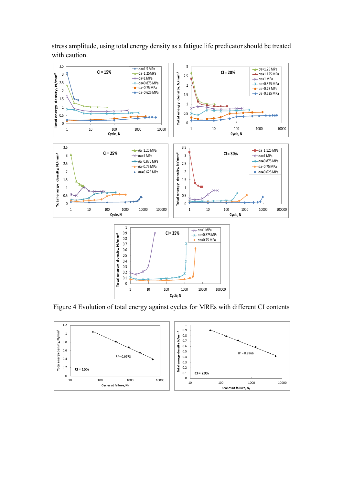

stress amplitude, using total energy density as a fatigue life predicator should be treated with caution.

Figure 4 Evolution of total energy against cycles for MREs with different CI contents

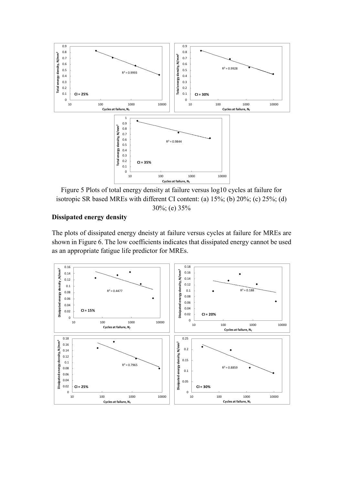

Figure 5 Plots of total energy density at failure versus log10 cycles at failure for isotropic SR based MREs with different CI content: (a) 15%; (b) 20%; (c) 25%; (d) 30%; (e) 35%

#### **Dissipated energy density**

The plots of dissipated energy dneisty at failure versus cycles at failure for MREs are shown in Figure 6. The low coefficients indicates that dissipated energy cannot be used as an appropriate fatigue life predictor for MREs.

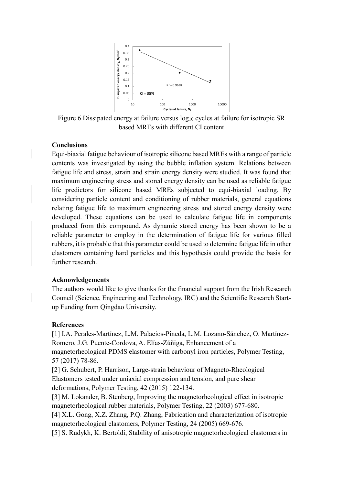

Figure 6 Dissipated energy at failure versus  $log_{10}$  cycles at failure for isotropic SR based MREs with different CI content

#### **Conclusions**

Equi-biaxial fatigue behaviour of isotropic silicone based MREs with a range of particle contents was investigated by using the bubble inflation system. Relations between fatigue life and stress, strain and strain energy density were studied. It was found that maximum engineering stress and stored energy density can be used as reliable fatigue life predictors for silicone based MREs subjected to equi-biaxial loading. By considering particle content and conditioning of rubber materials, general equations relating fatigue life to maximum engineering stress and stored energy density were developed. These equations can be used to calculate fatigue life in components produced from this compound. As dynamic stored energy has been shown to be a reliable parameter to employ in the determination of fatigue life for various filled rubbers, it is probable that this parameter could be used to determine fatigue life in other elastomers containing hard particles and this hypothesis could provide the basis for further research.

#### **Acknowledgements**

The authors would like to give thanks for the financial support from the Irish Research Council (Science, Engineering and Technology, IRC) and the Scientific Research Startup Funding from Qingdao University.

#### **References**

<span id="page-11-0"></span>[1] I.A. Perales-Martínez, L.M. Palacios-Pineda, L.M. Lozano-Sánchez, O. Martínez-Romero, J.G. Puente-Cordova, A. Elías-Zúñiga, Enhancement of a magnetorheological PDMS elastomer with carbonyl iron particles, Polymer Testing,

57 (2017) 78-86.

<span id="page-11-1"></span>[2] G. Schubert, P. Harrison, Large-strain behaviour of Magneto-Rheological Elastomers tested under uniaxial compression and tension, and pure shear deformations, Polymer Testing, 42 (2015) 122-134.

<span id="page-11-2"></span>[3] M. Lokander, B. Stenberg, Improving the magnetorheological effect in isotropic magnetorheological rubber materials, Polymer Testing, 22 (2003) 677-680.

<span id="page-11-3"></span>[4] X.L. Gong, X.Z. Zhang, P.Q. Zhang, Fabrication and characterization of isotropic magnetorheological elastomers, Polymer Testing, 24 (2005) 669-676.

<span id="page-11-4"></span>[5] S. Rudykh, K. Bertoldi, Stability of anisotropic magnetorheological elastomers in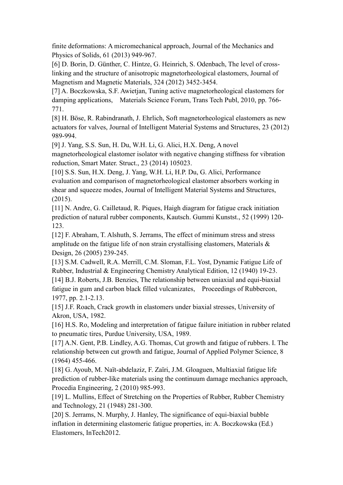finite deformations: A micromechanical approach, Journal of the Mechanics and Physics of Solids, 61 (2013) 949-967.

<span id="page-12-0"></span>[6] D. Borin, D. Günther, C. Hintze, G. Heinrich, S. Odenbach, The level of crosslinking and the structure of anisotropic magnetorheological elastomers, Journal of Magnetism and Magnetic Materials, 324 (2012) 3452-3454.

<span id="page-12-1"></span>[7] A. Boczkowska, S.F. Awietjan, Tuning active magnetorheological elastomers for damping applications, Materials Science Forum, Trans Tech Publ, 2010, pp. 766- 771.

[8] H. Böse, R. Rabindranath, J. Ehrlich, Soft magnetorheological elastomers as new actuators for valves, Journal of Intelligent Material Systems and Structures, 23 (2012) 989-994.

[9] J. Yang, S.S. Sun, H. Du, W.H. Li, G. Alici, H.X. Deng, A novel magnetorheological elastomer isolator with negative changing stiffness for vibration reduction, Smart Mater. Struct., 23 (2014) 105023.

[10] S.S. Sun, H.X. Deng, J. Yang, W.H. Li, H.P. Du, G. Alici, Performance evaluation and comparison of magnetorheological elastomer absorbers working in shear and squeeze modes, Journal of Intelligent Material Systems and Structures, (2015).

<span id="page-12-2"></span>[11] N. Andre, G. Cailletaud, R. Piques, Haigh diagram for fatigue crack initiation prediction of natural rubber components, Kautsch. Gummi Kunstst., 52 (1999) 120- 123.

<span id="page-12-3"></span>[12] F. Abraham, T. Alshuth, S. Jerrams, The effect of minimum stress and stress amplitude on the fatigue life of non strain crystallising elastomers, Materials & Design, 26 (2005) 239-245.

<span id="page-12-4"></span>[13] S.M. Cadwell, R.A. Merrill, C.M. Sloman, F.L. Yost, Dynamic Fatigue Life of Rubber, Industrial & Engineering Chemistry Analytical Edition, 12 (1940) 19-23. [14] B.J. Roberts, J.B. Benzies, The relationship between uniaxial and equi-biaxial fatigue in gum and carbon black filled vulcanizates, Proceedings of Rubbercon, 1977, pp. 2.1-2.13.

[15] J.F. Roach, Crack growth in elastomers under biaxial stresses, University of Akron, USA, 1982.

<span id="page-12-5"></span>[16] H.S. Ro, Modeling and interpretation of fatigue failure initiation in rubber related to pneumatic tires, Purdue University, USA, 1989.

[17] A.N. Gent, P.B. Lindley, A.G. Thomas, Cut growth and fatigue of rubbers. I. The relationship between cut growth and fatigue, Journal of Applied Polymer Science, 8 (1964) 455-466.

[18] G. Ayoub, M. Naït-abdelaziz, F. Zaïri, J.M. Gloaguen, Multiaxial fatigue life prediction of rubber-like materials using the continuum damage mechanics approach, Procedia Engineering, 2 (2010) 985-993.

<span id="page-12-6"></span>[19] L. Mullins, Effect of Stretching on the Properties of Rubber, Rubber Chemistry and Technology, 21 (1948) 281-300.

<span id="page-12-7"></span>[20] S. Jerrams, N. Murphy, J. Hanley, The significance of equi-biaxial bubble inflation in determining elastomeric fatigue properties, in: A. Boczkowska (Ed.) Elastomers, InTech2012.